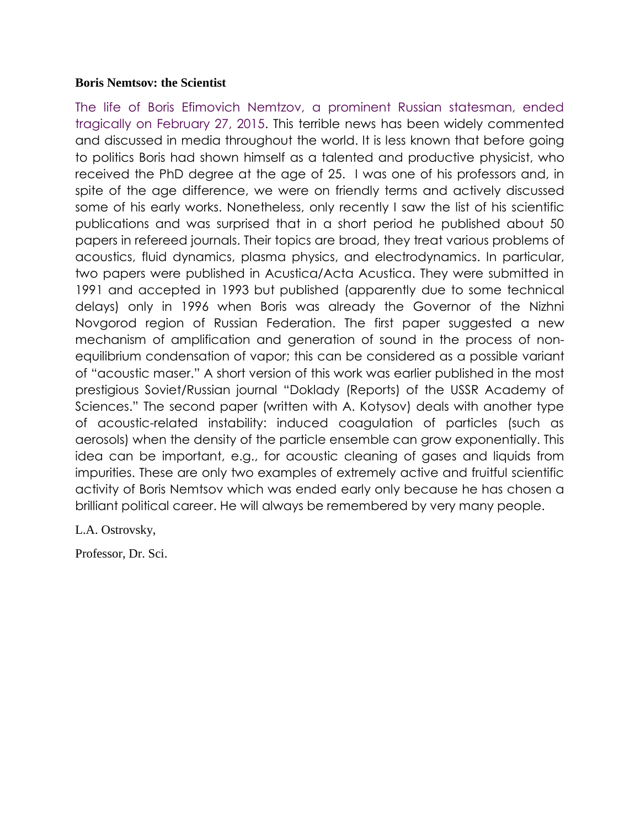## **Boris Nemtsov: the Scientist**

The life of Boris Efimovich Nemtzov, a prominent Russian statesman, ended tragically on February 27, 2015. This terrible news has been widely commented and discussed in media throughout the world. It is less known that before going to politics Boris had shown himself as a talented and productive physicist, who received the PhD degree at the age of 25. I was one of his professors and, in spite of the age difference, we were on friendly terms and actively discussed some of his early works. Nonetheless, only recently I saw the list of his scientific publications and was surprised that in a short period he published about 50 papers in refereed journals. Their topics are broad, they treat various problems of acoustics, fluid dynamics, plasma physics, and electrodynamics. In particular, two papers were published in Acustica/Acta Acustica. They were submitted in 1991 and accepted in 1993 but published (apparently due to some technical delays) only in 1996 when Boris was already the Governor of the Nizhni Novgorod region of Russian Federation. The first paper suggested a new mechanism of amplification and generation of sound in the process of nonequilibrium condensation of vapor; this can be considered as a possible variant of "acoustic maser." A short version of this work was earlier published in the most prestigious Soviet/Russian journal "Doklady (Reports) of the USSR Academy of Sciences." The second paper (written with A. Kotysov) deals with another type of acoustic-related instability: induced coagulation of particles (such as aerosols) when the density of the particle ensemble can grow exponentially. This idea can be important, e.g., for acoustic cleaning of gases and liquids from impurities. These are only two examples of extremely active and fruitful scientific activity of Boris Nemtsov which was ended early only because he has chosen a brilliant political career. He will always be remembered by very many people.

L.A. Ostrovsky,

Professor, Dr. Sci.